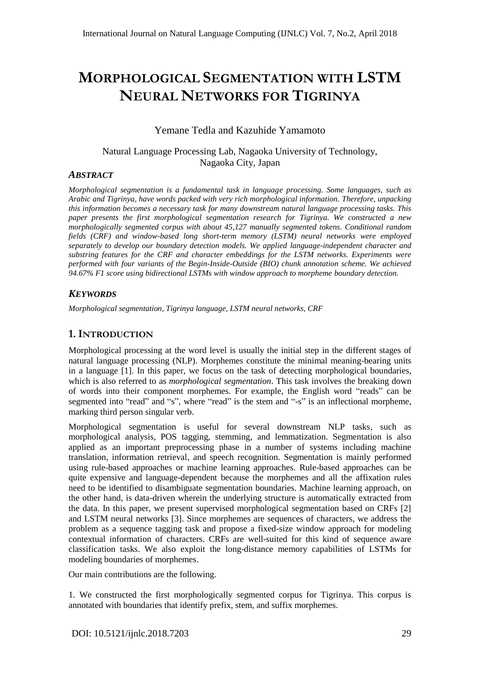# **MORPHOLOGICAL SEGMENTATION WITH LSTM NEURAL NETWORKS FOR TIGRINYA**

# Yemane Tedla and Kazuhide Yamamoto

# Natural Language Processing Lab, Nagaoka University of Technology, Nagaoka City, Japan

# *ABSTRACT*

*Morphological segmentation is a fundamental task in language processing. Some languages, such as Arabic and Tigrinya, have words packed with very rich morphological information. Therefore, unpacking this information becomes a necessary task for many downstream natural language processing tasks. This paper presents the first morphological segmentation research for Tigrinya. We constructed a new morphologically segmented corpus with about 45,127 manually segmented tokens. Conditional random fields (CRF) and window-based long short-term memory (LSTM) neural networks were employed separately to develop our boundary detection models. We applied language-independent character and substring features for the CRF and character embeddings for the LSTM networks. Experiments were performed with four variants of the Begin-Inside-Outside (BIO) chunk annotation scheme. We achieved 94.67% F1 score using bidirectional LSTMs with window approach to morpheme boundary detection.*

# *KEYWORDS*

*Morphological segmentation, Tigrinya language, LSTM neural networks, CRF*

# **1.INTRODUCTION**

Morphological processing at the word level is usually the initial step in the different stages of natural language processing (NLP). Morphemes constitute the minimal meaning-bearing units in a language [1]. In this paper, we focus on the task of detecting morphological boundaries, which is also referred to as *morphological segmentation*. This task involves the breaking down of words into their component morphemes. For example, the English word "reads" can be segmented into "read" and "s", where "read" is the stem and "-s" is an inflectional morpheme, marking third person singular verb.

Morphological segmentation is useful for several downstream NLP tasks, such as morphological analysis, POS tagging, stemming, and lemmatization. Segmentation is also applied as an important preprocessing phase in a number of systems including machine translation, information retrieval, and speech recognition. Segmentation is mainly performed using rule-based approaches or machine learning approaches. Rule-based approaches can be quite expensive and language-dependent because the morphemes and all the affixation rules need to be identified to disambiguate segmentation boundaries. Machine learning approach, on the other hand, is data-driven wherein the underlying structure is automatically extracted from the data. In this paper, we present supervised morphological segmentation based on CRFs [2] and LSTM neural networks [3]. Since morphemes are sequences of characters, we address the problem as a sequence tagging task and propose a fixed-size window approach for modeling contextual information of characters. CRFs are well-suited for this kind of sequence aware classification tasks. We also exploit the long-distance memory capabilities of LSTMs for modeling boundaries of morphemes.

Our main contributions are the following.

1. We constructed the first morphologically segmented corpus for Tigrinya. This corpus is annotated with boundaries that identify prefix, stem, and suffix morphemes.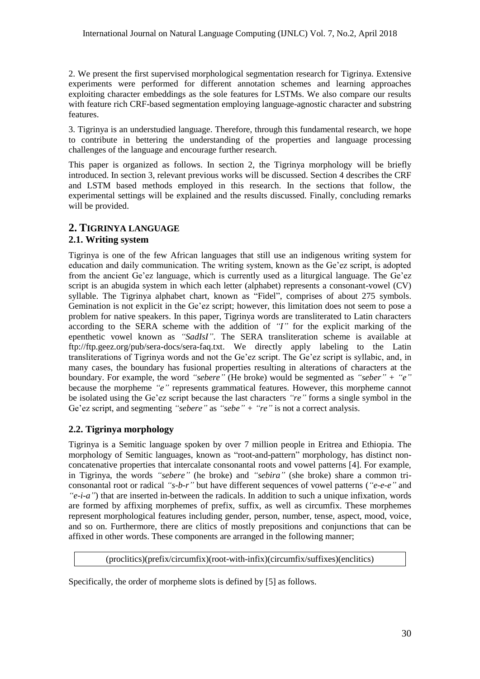2. We present the first supervised morphological segmentation research for Tigrinya. Extensive experiments were performed for different annotation schemes and learning approaches exploiting character embeddings as the sole features for LSTMs. We also compare our results with feature rich CRF-based segmentation employing language-agnostic character and substring features.

3. Tigrinya is an understudied language. Therefore, through this fundamental research, we hope to contribute in bettering the understanding of the properties and language processing challenges of the language and encourage further research.

This paper is organized as follows. In section 2, the Tigrinya morphology will be briefly introduced. In section 3, relevant previous works will be discussed. Section 4 describes the CRF and LSTM based methods employed in this research. In the sections that follow, the experimental settings will be explained and the results discussed. Finally, concluding remarks will be provided.

# **2. TIGRINYA LANGUAGE**

## **2.1. Writing system**

Tigrinya is one of the few African languages that still use an indigenous writing system for education and daily communication. The writing system, known as the Ge"ez script, is adopted from the ancient Ge'ez language, which is currently used as a liturgical language. The Ge'ez script is an abugida system in which each letter (alphabet) represents a consonant-vowel (CV) syllable. The Tigrinya alphabet chart, known as "Fidel", comprises of about 275 symbols. Gemination is not explicit in the Ge"ez script; however, this limitation does not seem to pose a problem for native speakers. In this paper, Tigrinya words are transliterated to Latin characters according to the SERA scheme with the addition of *"I"* for the explicit marking of the epenthetic vowel known as *"SadIsI"*. The SERA transliteration scheme is available at ftp://ftp.geez.org/pub/sera-docs/sera-faq.txt. We directly apply labeling to the Latin transliterations of Tigrinya words and not the Ge"ez script. The Ge"ez script is syllabic, and, in many cases, the boundary has fusional properties resulting in alterations of characters at the boundary. For example, the word *"sebere"* (He broke) would be segmented as *"seber" + "e"* because the morpheme *"e"* represents grammatical features. However, this morpheme cannot be isolated using the Ge"ez script because the last characters *"re"* forms a single symbol in the Ge'ez script, and segmenting "sebere" as "sebe" + "re" is not a correct analysis.

# **2.2. Tigrinya morphology**

Tigrinya is a Semitic language spoken by over 7 million people in Eritrea and Ethiopia. The morphology of Semitic languages, known as "root-and-pattern" morphology, has distinct nonconcatenative properties that intercalate consonantal roots and vowel patterns [4]. For example, in Tigrinya, the words *"sebere"* (he broke) and *"sebira"* (she broke) share a common triconsonantal root or radical *"s-b-r"* but have different sequences of vowel patterns (*"e-e-e"* and *"e-i-a"*) that are inserted in-between the radicals. In addition to such a unique infixation, words are formed by affixing morphemes of prefix, suffix, as well as circumfix. These morphemes represent morphological features including gender, person, number, tense, aspect, mood, voice, and so on. Furthermore, there are clitics of mostly prepositions and conjunctions that can be affixed in other words. These components are arranged in the following manner;

(proclitics)(prefix/circumfix)(root-with-infix)(circumfix/suffixes)(enclitics)

Specifically, the order of morpheme slots is defined by [5] as follows.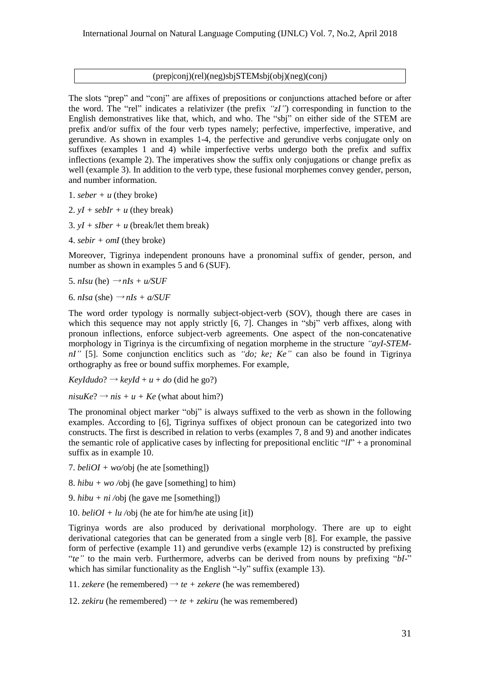#### (prep|conj)(rel)(neg)sbjSTEMsbj(obj)(neg)(conj)

The slots "prep" and "conj" are affixes of prepositions or conjunctions attached before or after the word. The "rel" indicates a relativizer (the prefix *"zI"*) corresponding in function to the English demonstratives like that, which, and who. The "sbj" on either side of the STEM are prefix and/or suffix of the four verb types namely; perfective, imperfective, imperative, and gerundive. As shown in examples 1-4, the perfective and gerundive verbs conjugate only on suffixes (examples 1 and 4) while imperfective verbs undergo both the prefix and suffix inflections (example 2). The imperatives show the suffix only conjugations or change prefix as well (example 3). In addition to the verb type, these fusional morphemes convey gender, person, and number information.

- 1.  $seber + u$  (they broke)
- 2.  $vI + seblr + u$  (they break)
- 3.  $yI + sIber + u$  (break/let them break)
- 4. *sebir + omI* (they broke)

Moreover, Tigrinya independent pronouns have a pronominal suffix of gender, person, and number as shown in examples 5 and 6 (SUF).

- 5. *nIsu* (he)  $\rightarrow$  *nIs* + *u/SUF*
- 6. *nIsa* (she)  $\rightarrow$  *nIs* + *a/SUF*

The word order typology is normally subject-object-verb (SOV), though there are cases in which this sequence may not apply strictly [6, 7]. Changes in "sbi" verb affixes, along with pronoun inflections, enforce subject-verb agreements. One aspect of the non-concatenative morphology in Tigrinya is the circumfixing of negation morpheme in the structure *"ayI-STEMnI"* [5]. Some conjunction enclitics such as *"do; ke; Ke"* can also be found in Tigrinya orthography as free or bound suffix morphemes. For example,

 $KevIdudo? \rightarrow kevId + u + do$  (did he go?)

 $nisuKe? \rightarrow nis + u + Ke$  (what about him?)

The pronominal object marker "obj" is always suffixed to the verb as shown in the following examples. According to [6], Tigrinya suffixes of object pronoun can be categorized into two constructs. The first is described in relation to verbs (examples 7, 8 and 9) and another indicates the semantic role of applicative cases by inflecting for prepositional enclitic "*lI*" + a pronominal suffix as in example 10.

7. *beliOI + wo/*obj (he ate [something])

- 8. *hibu + wo /*obj (he gave [something] to him)
- 9. *hibu + ni /*obj (he gave me [something])
- 10. *beliOI* + *lu* /obj (he ate for him/he ate using [it])

Tigrinya words are also produced by derivational morphology. There are up to eight derivational categories that can be generated from a single verb [8]. For example, the passive form of perfective (example 11) and gerundive verbs (example 12) is constructed by prefixing "*te"* to the main verb. Furthermore, adverbs can be derived from nouns by prefixing "*bI-*" which has similar functionality as the English "-ly" suffix (example 13).

11. *zekere* (he remembered)  $\rightarrow te + zekere$  (he was remembered)

12. *zekiru* (he remembered)  $\rightarrow te + zekiru$  (he was remembered)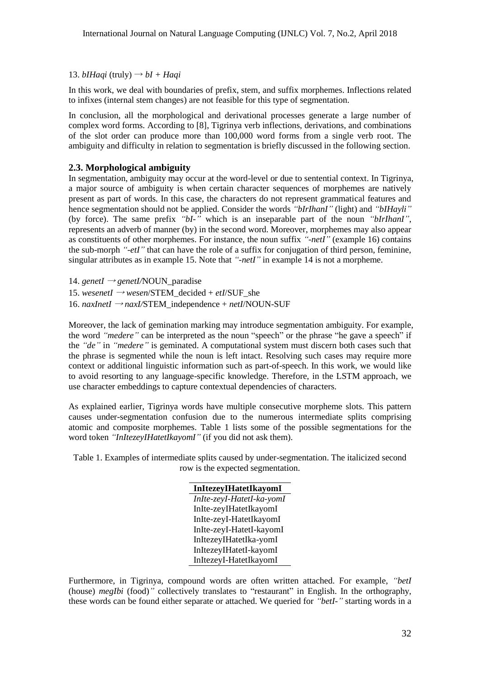#### 13. *bIHaqi* (truly)  $\rightarrow bI + Haqi$

In this work, we deal with boundaries of prefix, stem, and suffix morphemes. Inflections related to infixes (internal stem changes) are not feasible for this type of segmentation.

In conclusion, all the morphological and derivational processes generate a large number of complex word forms. According to [8], Tigrinya verb inflections, derivations, and combinations of the slot order can produce more than 100,000 word forms from a single verb root. The ambiguity and difficulty in relation to segmentation is briefly discussed in the following section.

#### **2.3. Morphological ambiguity**

In segmentation, ambiguity may occur at the word-level or due to sentential context. In Tigrinya, a major source of ambiguity is when certain character sequences of morphemes are natively present as part of words. In this case, the characters do not represent grammatical features and hence segmentation should not be applied. Consider the words *"bIrIhanI"* (light) and *"bIHayli"* (by force). The same prefix *"bI-"* which is an inseparable part of the noun *"bIrIhanI"*, represents an adverb of manner (by) in the second word. Moreover, morphemes may also appear as constituents of other morphemes. For instance, the noun suffix *"-netI"* (example 16) contains the sub-morph *"-etI"* that can have the role of a suffix for conjugation of third person, feminine, singular attributes as in example 15. Note that *"-netI"* in example 14 is not a morpheme.

14. *genetI* <sup>→</sup> *genetI/*NOUN\_paradise

15. *wesenetI*  $\rightarrow$  *wesen/STEM\_decided + etI/SUF* she

16. *naxInetI* <sup>→</sup> *naxI/*STEM\_independence + *netI*/NOUN-SUF

Moreover, the lack of gemination marking may introduce segmentation ambiguity. For example, the word *"medere"* can be interpreted as the noun "speech" or the phrase "he gave a speech" if the *"de"* in *"medere"* is geminated. A computational system must discern both cases such that the phrase is segmented while the noun is left intact. Resolving such cases may require more context or additional linguistic information such as part-of-speech. In this work, we would like to avoid resorting to any language-specific knowledge. Therefore, in the LSTM approach, we use character embeddings to capture contextual dependencies of characters.

As explained earlier, Tigrinya words have multiple consecutive morpheme slots. This pattern causes under-segmentation confusion due to the numerous intermediate splits comprising atomic and composite morphemes. Table 1 lists some of the possible segmentations for the word token *"InItezeyIHatetIkayomI"* (if you did not ask them).

Table 1. Examples of intermediate splits caused by under-segmentation. The italicized second row is the expected segmentation.

| InItezeyIHatetIkayomI     |
|---------------------------|
| InIte-zeyI-HatetI-ka-yomI |
| InIte-zeyIHatetIkayomI    |
| InIte-zeyI-HatetIkayomI   |
| InIte-zeyI-HatetI-kayomI  |
| InItezeyIHatetIka-yomI    |
| InItezeyIHatetI-kayomI    |
| InItezeyI-HatetIkayomI    |

Furthermore, in Tigrinya, compound words are often written attached. For example, *"betI*  (house) *megIbi* (food)*"* collectively translates to "restaurant" in English. In the orthography, these words can be found either separate or attached. We queried for *"betI-"* starting words in a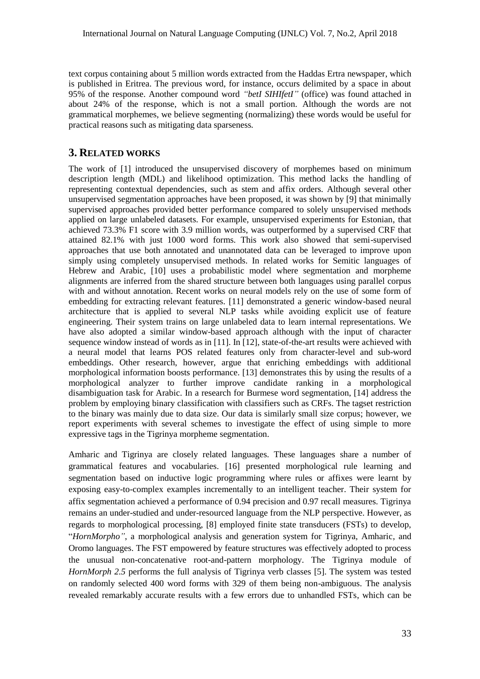text corpus containing about 5 million words extracted from the Haddas Ertra newspaper, which is published in Eritrea. The previous word, for instance, occurs delimited by a space in about 95% of the response. Another compound word *"betI SIHIfetI"* (office) was found attached in about 24% of the response, which is not a small portion. Although the words are not grammatical morphemes, we believe segmenting (normalizing) these words would be useful for practical reasons such as mitigating data sparseness.

# **3. RELATED WORKS**

The work of [1] introduced the unsupervised discovery of morphemes based on minimum description length (MDL) and likelihood optimization. This method lacks the handling of representing contextual dependencies, such as stem and affix orders. Although several other unsupervised segmentation approaches have been proposed, it was shown by [9] that minimally supervised approaches provided better performance compared to solely unsupervised methods applied on large unlabeled datasets. For example, unsupervised experiments for Estonian, that achieved 73.3% F1 score with 3.9 million words, was outperformed by a supervised CRF that attained 82.1% with just 1000 word forms. This work also showed that semi-supervised approaches that use both annotated and unannotated data can be leveraged to improve upon simply using completely unsupervised methods. In related works for Semitic languages of Hebrew and Arabic, [10] uses a probabilistic model where segmentation and morpheme alignments are inferred from the shared structure between both languages using parallel corpus with and without annotation. Recent works on neural models rely on the use of some form of embedding for extracting relevant features. [11] demonstrated a generic window-based neural architecture that is applied to several NLP tasks while avoiding explicit use of feature engineering. Their system trains on large unlabeled data to learn internal representations. We have also adopted a similar window-based approach although with the input of character sequence window instead of words as in [11]. In [12], state-of-the-art results were achieved with a neural model that learns POS related features only from character-level and sub-word embeddings. Other research, however, argue that enriching embeddings with additional morphological information boosts performance. [13] demonstrates this by using the results of a morphological analyzer to further improve candidate ranking in a morphological disambiguation task for Arabic. In a research for Burmese word segmentation, [14] address the problem by employing binary classification with classifiers such as CRFs. The tagset restriction to the binary was mainly due to data size. Our data is similarly small size corpus; however, we report experiments with several schemes to investigate the effect of using simple to more expressive tags in the Tigrinya morpheme segmentation.

Amharic and Tigrinya are closely related languages. These languages share a number of grammatical features and vocabularies. [16] presented morphological rule learning and segmentation based on inductive logic programming where rules or affixes were learnt by exposing easy-to-complex examples incrementally to an intelligent teacher. Their system for affix segmentation achieved a performance of 0.94 precision and 0.97 recall measures. Tigrinya remains an under-studied and under-resourced language from the NLP perspective. However, as regards to morphological processing, [8] employed finite state transducers (FSTs) to develop, "*HornMorpho"*, a morphological analysis and generation system for Tigrinya, Amharic, and Oromo languages. The FST empowered by feature structures was effectively adopted to process the unusual non-concatenative root-and-pattern morphology. The Tigrinya module of *HornMorph 2.5* performs the full analysis of Tigrinya verb classes [5]. The system was tested on randomly selected 400 word forms with 329 of them being non-ambiguous. The analysis revealed remarkably accurate results with a few errors due to unhandled FSTs, which can be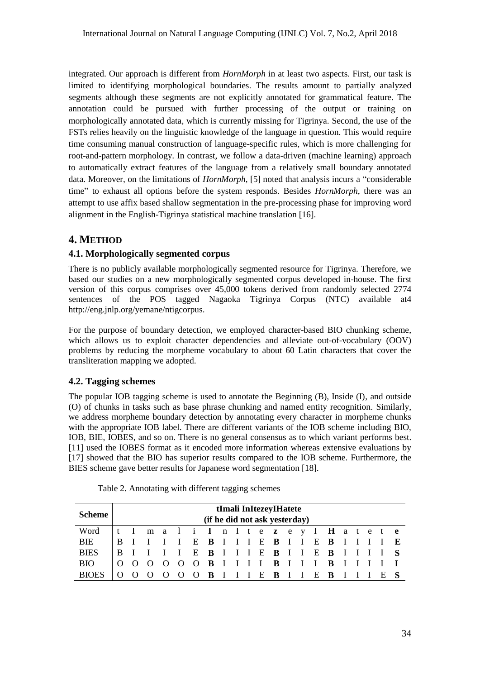integrated. Our approach is different from *HornMorph* in at least two aspects. First, our task is limited to identifying morphological boundaries. The results amount to partially analyzed segments although these segments are not explicitly annotated for grammatical feature. The annotation could be pursued with further processing of the output or training on morphologically annotated data, which is currently missing for Tigrinya. Second, the use of the FSTs relies heavily on the linguistic knowledge of the language in question. This would require time consuming manual construction of language-specific rules, which is more challenging for root-and-pattern morphology. In contrast, we follow a data-driven (machine learning) approach to automatically extract features of the language from a relatively small boundary annotated data. Moreover, on the limitations of *HornMorph*, [5] noted that analysis incurs a "considerable time" to exhaust all options before the system responds. Besides *HornMorph*, there was an attempt to use affix based shallow segmentation in the pre-processing phase for improving word alignment in the English-Tigrinya statistical machine translation [16].

# **4. METHOD**

# **4.1. Morphologically segmented corpus**

There is no publicly available morphologically segmented resource for Tigrinya. Therefore, we based our studies on a new morphologically segmented corpus developed in-house. The first version of this corpus comprises over 45,000 tokens derived from randomly selected 2774 sentences of the POS tagged Nagaoka Tigrinya Corpus (NTC) available at4 http://eng.jnlp.org/yemane/ntigcorpus.

For the purpose of boundary detection, we employed character-based BIO chunking scheme, which allows us to exploit character dependencies and alleviate out-of-vocabulary (OOV) problems by reducing the morpheme vocabulary to about 60 Latin characters that cover the transliteration mapping we adopted.

# **4.2. Tagging schemes**

The popular IOB tagging scheme is used to annotate the Beginning (B), Inside (I), and outside (O) of chunks in tasks such as base phrase chunking and named entity recognition. Similarly, we address morpheme boundary detection by annotating every character in morpheme chunks with the appropriate IOB label. There are different variants of the IOB scheme including BIO, IOB, BIE, IOBES, and so on. There is no general consensus as to which variant performs best. [11] used the IOBES format as it encoded more information whereas extensive evaluations by [17] showed that the BIO has superior results compared to the IOB scheme. Furthermore, the BIES scheme gave better results for Japanese word segmentation [18].

| <b>Scheme</b> | tImali InItezeyIHatete<br>(if he did not ask yesterday) |  |                                |     |  |   |   |  |  |         |  |             |                                 |  |  |  |
|---------------|---------------------------------------------------------|--|--------------------------------|-----|--|---|---|--|--|---------|--|-------------|---------------------------------|--|--|--|
| Word          |                                                         |  | t I mali I n I tezey I Hatet e |     |  |   |   |  |  |         |  |             |                                 |  |  |  |
| BIE           |                                                         |  |                                |     |  |   |   |  |  |         |  |             | E B I I I E B I I E B I I I I E |  |  |  |
| <b>BIES</b>   |                                                         |  |                                |     |  |   |   |  |  |         |  |             | E B I I I E B I I E B I I I I S |  |  |  |
| <b>BIO</b>    |                                                         |  |                                | - 0 |  |   |   |  |  |         |  |             | O O B I I I I B I I I B I I I I |  |  |  |
| <b>BIOES</b>  |                                                         |  |                                |     |  | 0 | B |  |  | III E B |  | $I$ $I$ $E$ | $\mathbf{B}$                    |  |  |  |

Table 2. Annotating with different tagging schemes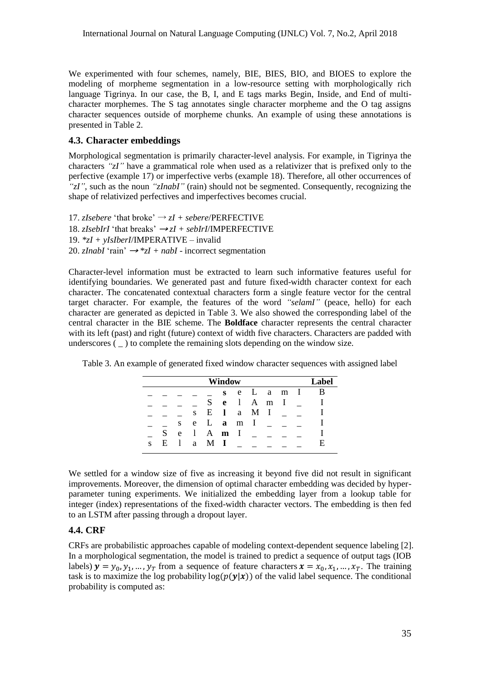We experimented with four schemes, namely, BIE, BIES, BIO, and BIOES to explore the modeling of morpheme segmentation in a low-resource setting with morphologically rich language Tigrinya. In our case, the B, I, and E tags marks Begin, Inside, and End of multicharacter morphemes. The S tag annotates single character morpheme and the O tag assigns character sequences outside of morpheme chunks. An example of using these annotations is presented in Table 2.

#### **4.3. Character embeddings**

Morphological segmentation is primarily character-level analysis. For example, in Tigrinya the characters *"zI"* have a grammatical role when used as a relativizer that is prefixed only to the perfective (example 17) or imperfective verbs (example 18). Therefore, all other occurrences of *"zI"*, such as the noun *"zInabI"* (rain) should not be segmented. Consequently, recognizing the shape of relativized perfectives and imperfectives becomes crucial.

17. *zIsebere* 'that broke'  $\rightarrow$  *zI* + *sebere*/PERFECTIVE 18. *zIsebIrI* 'that breaks'  $\rightarrow zI + seblrI/IMPERFECTIVE$ 19. *\*zI + yIsIberI*/IMPERATIVE – invalid 20. *zInabI* 'rain'  $\rightarrow$  \**zI* + *nabI* - incorrect segmentation

Character-level information must be extracted to learn such informative features useful for identifying boundaries. We generated past and future fixed-width character context for each character. The concatenated contextual characters form a single feature vector for the central target character. For example, the features of the word *"selamI"* (peace, hello) for each character are generated as depicted in Table 3. We also showed the corresponding label of the central character in the BIE scheme. The **Boldface** character represents the central character with its left (past) and right (future) context of width five characters. Characters are padded with underscores  $($ ) to complete the remaining slots depending on the window size.

Table 3. An example of generated fixed window character sequences with assigned label

|   | Window |    |     |     |       |   |                |  |       | Lahel |    |
|---|--------|----|-----|-----|-------|---|----------------|--|-------|-------|----|
|   |        |    |     |     | S     |   | e L a m I      |  |       |       |    |
|   |        |    |     | S   | e     | I |                |  | A m I |       |    |
|   |        |    | S   | E   | 1     | a | M I            |  |       |       |    |
|   |        | S. | e   |     | $L$ a | m | $\blacksquare$ |  |       |       |    |
|   | S.     | e  | L   |     | A m I |   |                |  |       |       |    |
| S | E      |    | a - | M I |       |   |                |  |       |       | E. |

We settled for a window size of five as increasing it beyond five did not result in significant improvements. Moreover, the dimension of optimal character embedding was decided by hyperparameter tuning experiments. We initialized the embedding layer from a lookup table for integer (index) representations of the fixed-width character vectors. The embedding is then fed to an LSTM after passing through a dropout layer.

## **4.4. CRF**

CRFs are probabilistic approaches capable of modeling context-dependent sequence labeling [2]. In a morphological segmentation, the model is trained to predict a sequence of output tags (IOB labels)  $y = y_0, y_1, ..., y_T$  from a sequence of feature characters  $x = x_0, x_1, ..., x_T$ . The training task is to maximize the log probability  $log(p(y|x))$  of the valid label sequence. The conditional probability is computed as: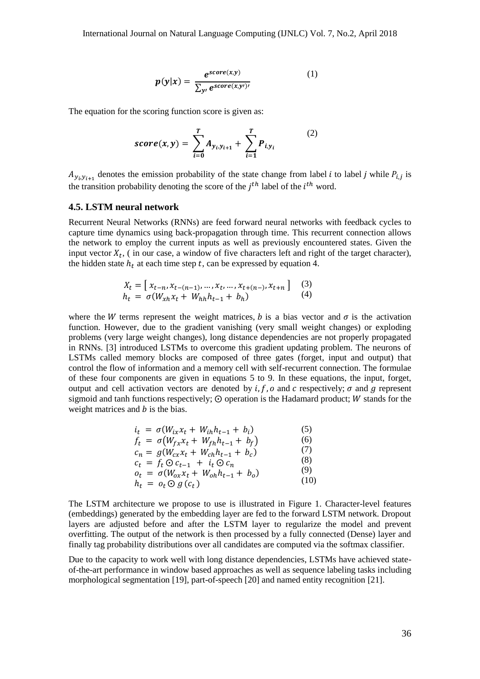$$
p(y|x) = \frac{e^{score(x,y)}}{\sum_{y'} e^{score(x,y')}} \tag{1}
$$

The equation for the scoring function score is given as:

$$
score(x, y) = \sum_{i=0}^{T} A_{y_i, y_{i+1}} + \sum_{i=1}^{T} P_{i, y_i}
$$
 (2)

 $A_{y_i, y_{i+1}}$  denotes the emission probability of the state change from label *i* to label *j* while  $P_{i,j}$  is the transition probability denoting the score of the  $j<sup>th</sup>$  label of the  $i<sup>th</sup>$  word.

#### **4.5. LSTM neural network**

Recurrent Neural Networks (RNNs) are feed forward neural networks with feedback cycles to capture time dynamics using back-propagation through time. This recurrent connection allows the network to employ the current inputs as well as previously encountered states. Given the input vector  $X_t$ , (in our case, a window of five characters left and right of the target character), the hidden state  $h_t$  at each time step t, can be expressed by equation 4.

$$
X_t = [x_{t-n}, x_{t-(n-1)}, \dots, x_t, \dots, x_{t+(n-)}, x_{t+n}] \quad (3)
$$
  
\n
$$
h_t = \sigma(W_{xh}x_t + W_{hh}h_{t-1} + b_h) \quad (4)
$$

where the W terms represent the weight matrices, b is a bias vector and  $\sigma$  is the activation function. However, due to the gradient vanishing (very small weight changes) or exploding problems (very large weight changes), long distance dependencies are not properly propagated in RNNs. [3] introduced LSTMs to overcome this gradient updating problem. The neurons of LSTMs called memory blocks are composed of three gates (forget, input and output) that control the flow of information and a memory cell with self-recurrent connection. The formulae of these four components are given in equations 5 to 9. In these equations, the input, forget, output and cell activation vectors are denoted by  $i, f, o$  and  $c$  respectively;  $\sigma$  and  $g$  represent sigmoid and tanh functions respectively;  $\odot$  operation is the Hadamard product; W stands for the weight matrices and  $b$  is the bias.

| $i_t = \sigma(W_{ix}x_t + W_{ih}h_{t-1} + b_i)$ | (5)  |
|-------------------------------------------------|------|
| $f_t = \sigma(W_{fx}x_t + W_{fh}h_{t-1} + b_f)$ | (6)  |
| $c_n = g(W_{cx}x_t + W_{ch}h_{t-1} + b_c)$      | (7)  |
| $c_t = f_t \odot c_{t-1} + i_t \odot c_n$       | (8)  |
| $o_t = \sigma(W_{0x}x_t + W_{0h}h_{t-1} + b_0)$ | (9)  |
| $h_t = o_t \odot g(c_t)$                        | (10) |

The LSTM architecture we propose to use is illustrated in Figure 1. Character-level features (embeddings) generated by the embedding layer are fed to the forward LSTM network. Dropout layers are adjusted before and after the LSTM layer to regularize the model and prevent overfitting. The output of the network is then processed by a fully connected (Dense) layer and finally tag probability distributions over all candidates are computed via the softmax classifier.

Due to the capacity to work well with long distance dependencies, LSTMs have achieved stateof-the-art performance in window based approaches as well as sequence labeling tasks including morphological segmentation [19], part-of-speech [20] and named entity recognition [21].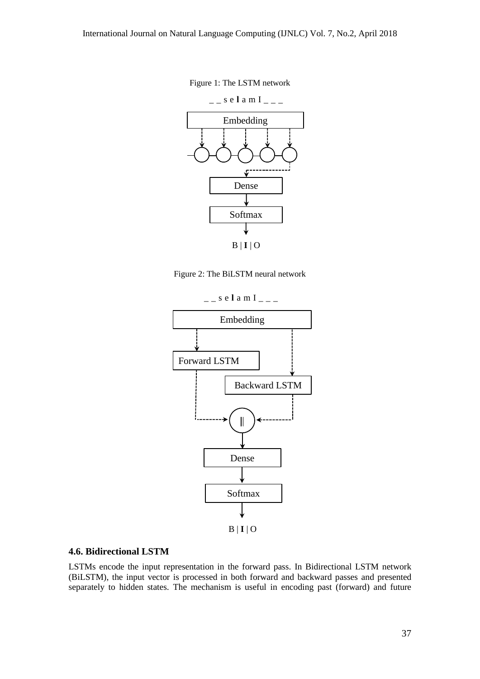



Figure 2: The BiLSTM neural network



#### **4.6. Bidirectional LSTM**

LSTMs encode the input representation in the forward pass. In Bidirectional LSTM network (BiLSTM), the input vector is processed in both forward and backward passes and presented separately to hidden states. The mechanism is useful in encoding past (forward) and future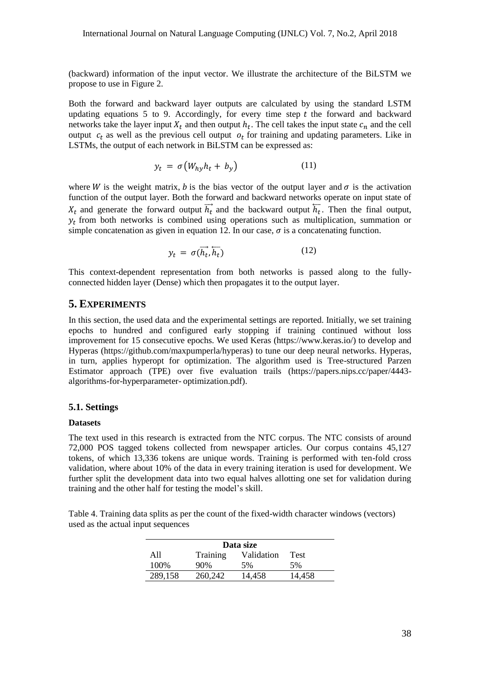(backward) information of the input vector. We illustrate the architecture of the BiLSTM we propose to use in Figure 2.

Both the forward and backward layer outputs are calculated by using the standard LSTM updating equations  $5$  to  $9$ . Accordingly, for every time step  $t$  the forward and backward networks take the layer input  $X_t$  and then output  $h_t$ . The cell takes the input state  $c_n$  and the cell output  $c_t$  as well as the previous cell output  $o_t$  for training and updating parameters. Like in LSTMs, the output of each network in BiLSTM can be expressed as:

$$
y_t = \sigma \big( W_{hy} h_t + b_y \big) \tag{11}
$$

where W is the weight matrix, b is the bias vector of the output layer and  $\sigma$  is the activation function of the output layer. Both the forward and backward networks operate on input state of  $X_t$  and generate the forward output  $\overrightarrow{h_t}$  and the backward output  $\overleftarrow{h_t}$ . Then the final output,  $y_t$  from both networks is combined using operations such as multiplication, summation or simple concatenation as given in equation 12. In our case,  $\sigma$  is a concatenating function.

$$
y_t = \sigma(\overrightarrow{h_t}, \overleftarrow{h_t}) \tag{12}
$$

This context-dependent representation from both networks is passed along to the fullyconnected hidden layer (Dense) which then propagates it to the output layer.

#### **5. EXPERIMENTS**

In this section, the used data and the experimental settings are reported. Initially, we set training epochs to hundred and configured early stopping if training continued without loss improvement for 15 consecutive epochs. We used Keras (https://www.keras.io/) to develop and Hyperas (https://github.com/maxpumperla/hyperas) to tune our deep neural networks. Hyperas, in turn, applies hyperopt for optimization. The algorithm used is Tree-structured Parzen Estimator approach (TPE) over five evaluation trails (https://papers.nips.cc/paper/4443 algorithms-for-hyperparameter- optimization.pdf).

#### **5.1. Settings**

#### **Datasets**

The text used in this research is extracted from the NTC corpus. The NTC consists of around 72,000 POS tagged tokens collected from newspaper articles. Our corpus contains 45,127 tokens, of which 13,336 tokens are unique words. Training is performed with ten-fold cross validation, where about 10% of the data in every training iteration is used for development. We further split the development data into two equal halves allotting one set for validation during training and the other half for testing the model"s skill.

Table 4. Training data splits as per the count of the fixed-width character windows (vectors) used as the actual input sequences

| Data size |          |            |             |  |  |  |  |  |
|-----------|----------|------------|-------------|--|--|--|--|--|
| A11       | Training | Validation | <b>Test</b> |  |  |  |  |  |
| 100%      | 90%      | 5%         | 5%          |  |  |  |  |  |
| 289,158   | 260,242  | 14,458     | 14,458      |  |  |  |  |  |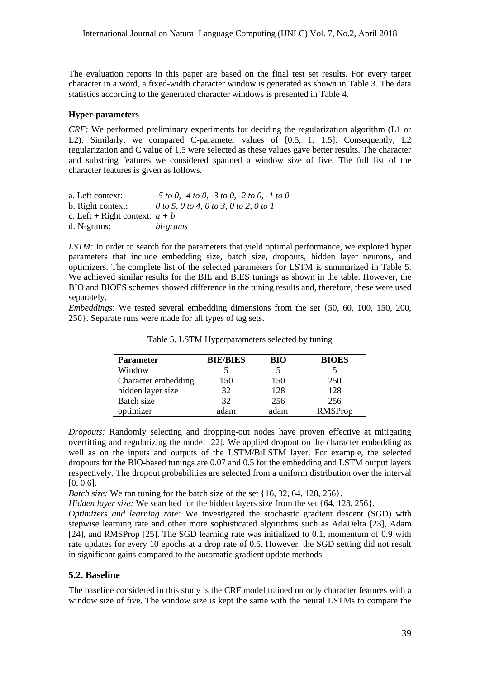The evaluation reports in this paper are based on the final test set results. For every target character in a word, a fixed-width character window is generated as shown in Table 3. The data statistics according to the generated character windows is presented in Table 4.

#### **Hyper-parameters**

*CRF:* We performed preliminary experiments for deciding the regularization algorithm (L1 or L2). Similarly, we compared C-parameter values of [0.5, 1, 1.5]. Consequently, L2 regularization and C value of 1.5 were selected as these values gave better results. The character and substring features we considered spanned a window size of five. The full list of the character features is given as follows.

| a. Left context:                 | $-5$ to 0, $-4$ to 0, $-3$ to 0, $-2$ to 0, $-1$ to 0 |
|----------------------------------|-------------------------------------------------------|
| b. Right context:                | 0 to 5, 0 to 4, 0 to 3, 0 to 2, 0 to 1                |
| c. Left + Right context: $a + b$ |                                                       |
| d. N-grams:                      | bi-grams                                              |

LSTM: In order to search for the parameters that yield optimal performance, we explored hyper parameters that include embedding size, batch size, dropouts, hidden layer neurons, and optimizers. The complete list of the selected parameters for LSTM is summarized in Table 5. We achieved similar results for the BIE and BIES tunings as shown in the table. However, the BIO and BIOES schemes showed difference in the tuning results and, therefore, these were used separately.

*Embeddings*: We tested several embedding dimensions from the set {50, 60, 100, 150, 200, 250}. Separate runs were made for all types of tag sets.

| <b>Parameter</b>    | <b>BIE/BIES</b> | BIO  | <b>BIOES</b>   |
|---------------------|-----------------|------|----------------|
| Window              |                 |      |                |
| Character embedding | 150             | 150  | 250            |
| hidden layer size   | 32              | 128  | 128            |
| Batch size          | 32              | 256  | 256            |
| optimizer           | adam            | adam | <b>RMSProp</b> |

Table 5. LSTM Hyperparameters selected by tuning

*Dropouts:* Randomly selecting and dropping-out nodes have proven effective at mitigating overfitting and regularizing the model [22]. We applied dropout on the character embedding as well as on the inputs and outputs of the LSTM/BiLSTM layer. For example, the selected dropouts for the BIO-based tunings are 0.07 and 0.5 for the embedding and LSTM output layers respectively. The dropout probabilities are selected from a uniform distribution over the interval [0, 0.6].

*Batch size:* We ran tuning for the batch size of the set {16, 32, 64, 128, 256}.

*Hidden layer size:* We searched for the hidden layers size from the set {64, 128, 256}.

*Optimizers and learning rate:* We investigated the stochastic gradient descent (SGD) with stepwise learning rate and other more sophisticated algorithms such as AdaDelta [23], Adam [24], and RMSProp [25]. The SGD learning rate was initialized to 0.1, momentum of 0.9 with rate updates for every 10 epochs at a drop rate of 0.5. However, the SGD setting did not result in significant gains compared to the automatic gradient update methods.

## **5.2. Baseline**

The baseline considered in this study is the CRF model trained on only character features with a window size of five. The window size is kept the same with the neural LSTMs to compare the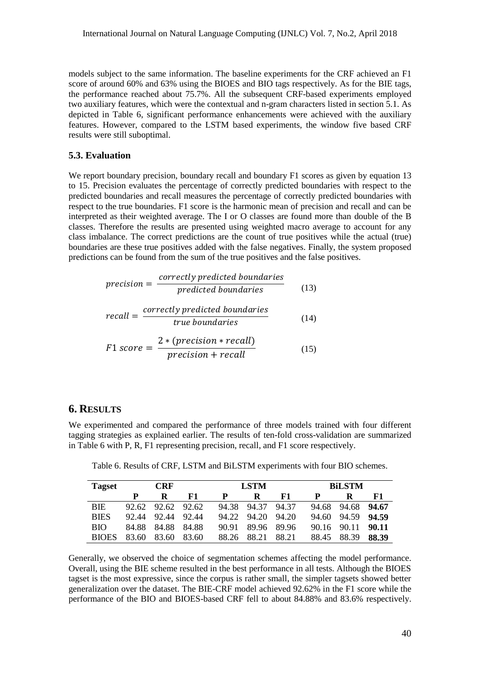models subject to the same information. The baseline experiments for the CRF achieved an F1 score of around 60% and 63% using the BIOES and BIO tags respectively. As for the BIE tags, the performance reached about 75.7%. All the subsequent CRF-based experiments employed two auxiliary features, which were the contextual and n-gram characters listed in section 5.1. As depicted in Table 6, significant performance enhancements were achieved with the auxiliary features. However, compared to the LSTM based experiments, the window five based CRF results were still suboptimal.

## **5.3. Evaluation**

We report boundary precision, boundary recall and boundary F1 scores as given by equation 13 to 15. Precision evaluates the percentage of correctly predicted boundaries with respect to the predicted boundaries and recall measures the percentage of correctly predicted boundaries with respect to the true boundaries. F1 score is the harmonic mean of precision and recall and can be interpreted as their weighted average. The I or O classes are found more than double of the B classes. Therefore the results are presented using weighted macro average to account for any class imbalance. The correct predictions are the count of true positives while the actual (true) boundaries are these true positives added with the false negatives. Finally, the system proposed predictions can be found from the sum of the true positives and the false positives.

$$
precision = \frac{correctly \, predicted \, boundaries}{predicted \, boundaries}
$$
 (13)

$$
recall = \frac{correctly predicted boundaries}{true boundaries}
$$
 (14)

$$
F1 \, score = \frac{2 * (precision * recall)}{precision + recall}
$$
 (15)

## **6. RESULTS**

We experimented and compared the performance of three models trained with four different tagging strategies as explained earlier. The results of ten-fold cross-validation are summarized in Table 6 with P, R, F1 representing precision, recall, and F1 score respectively.

Table 6. Results of CRF, LSTM and BiLSTM experiments with four BIO schemes.

| <b>Tagset</b> |       | <b>CRF</b>  |       |       | <b>LSTM</b> |       |       | <b>BiLSTM</b> |       |  |  |
|---------------|-------|-------------|-------|-------|-------------|-------|-------|---------------|-------|--|--|
|               |       | R           | F1    | P     | R           | F1    |       |               | F1    |  |  |
| <b>BIE</b>    | 92.62 | 92.62 92.62 |       | 94.38 | 94.37       | 94.37 | 94.68 | 94.68         | 94.67 |  |  |
| <b>BIES</b>   | 92.44 | 92.44       | 92.44 | 94.22 | 94.20       | 94.20 | 94.60 | 94.59         | 94.59 |  |  |
| <b>BIO</b>    | 84.88 | 84.88       | 84.88 | 90.91 | 89.96       | 89.96 | 90.16 | 90.11         | 90.11 |  |  |
| <b>BIOES</b>  | 83.60 | 83.60       | 83.60 | 88.26 | 88.21       | 88.21 | 88.45 | 88.39         | 88.39 |  |  |

Generally, we observed the choice of segmentation schemes affecting the model performance. Overall, using the BIE scheme resulted in the best performance in all tests. Although the BIOES tagset is the most expressive, since the corpus is rather small, the simpler tagsets showed better generalization over the dataset. The BIE-CRF model achieved 92.62% in the F1 score while the performance of the BIO and BIOES-based CRF fell to about 84.88% and 83.6% respectively.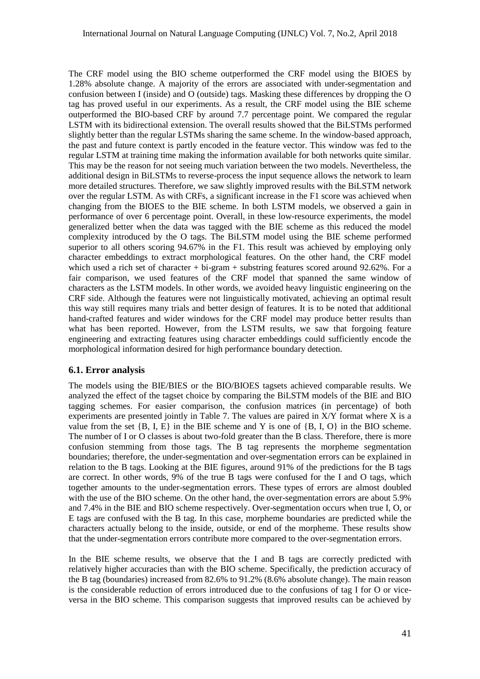The CRF model using the BIO scheme outperformed the CRF model using the BIOES by 1.28% absolute change. A majority of the errors are associated with under-segmentation and confusion between I (inside) and O (outside) tags. Masking these differences by dropping the O tag has proved useful in our experiments. As a result, the CRF model using the BIE scheme outperformed the BIO-based CRF by around 7.7 percentage point. We compared the regular LSTM with its bidirectional extension. The overall results showed that the BiLSTMs performed slightly better than the regular LSTMs sharing the same scheme. In the window-based approach, the past and future context is partly encoded in the feature vector. This window was fed to the regular LSTM at training time making the information available for both networks quite similar. This may be the reason for not seeing much variation between the two models. Nevertheless, the additional design in BiLSTMs to reverse-process the input sequence allows the network to learn more detailed structures. Therefore, we saw slightly improved results with the BiLSTM network over the regular LSTM. As with CRFs, a significant increase in the F1 score was achieved when changing from the BIOES to the BIE scheme. In both LSTM models, we observed a gain in performance of over 6 percentage point. Overall, in these low-resource experiments, the model generalized better when the data was tagged with the BIE scheme as this reduced the model complexity introduced by the O tags. The BiLSTM model using the BIE scheme performed superior to all others scoring 94.67% in the F1. This result was achieved by employing only character embeddings to extract morphological features. On the other hand, the CRF model which used a rich set of character  $+$  bi-gram  $+$  substring features scored around 92.62%. For a fair comparison, we used features of the CRF model that spanned the same window of characters as the LSTM models. In other words, we avoided heavy linguistic engineering on the CRF side. Although the features were not linguistically motivated, achieving an optimal result this way still requires many trials and better design of features. It is to be noted that additional hand-crafted features and wider windows for the CRF model may produce better results than what has been reported. However, from the LSTM results, we saw that forgoing feature engineering and extracting features using character embeddings could sufficiently encode the morphological information desired for high performance boundary detection.

## **6.1. Error analysis**

The models using the BIE/BIES or the BIO/BIOES tagsets achieved comparable results. We analyzed the effect of the tagset choice by comparing the BiLSTM models of the BIE and BIO tagging schemes. For easier comparison, the confusion matrices (in percentage) of both experiments are presented jointly in Table 7. The values are paired in  $X/Y$  format where X is a value from the set  ${B, I, E}$  in the BIE scheme and Y is one of  ${B, I, O}$  in the BIO scheme. The number of I or O classes is about two-fold greater than the B class. Therefore, there is more confusion stemming from those tags. The B tag represents the morpheme segmentation boundaries; therefore, the under-segmentation and over-segmentation errors can be explained in relation to the B tags. Looking at the BIE figures, around 91% of the predictions for the B tags are correct. In other words, 9% of the true B tags were confused for the I and O tags, which together amounts to the under-segmentation errors. These types of errors are almost doubled with the use of the BIO scheme. On the other hand, the over-segmentation errors are about 5.9% and 7.4% in the BIE and BIO scheme respectively. Over-segmentation occurs when true I, O, or E tags are confused with the B tag. In this case, morpheme boundaries are predicted while the characters actually belong to the inside, outside, or end of the morpheme. These results show that the under-segmentation errors contribute more compared to the over-segmentation errors.

In the BIE scheme results, we observe that the I and B tags are correctly predicted with relatively higher accuracies than with the BIO scheme. Specifically, the prediction accuracy of the B tag (boundaries) increased from 82.6% to 91.2% (8.6% absolute change). The main reason is the considerable reduction of errors introduced due to the confusions of tag I for O or viceversa in the BIO scheme. This comparison suggests that improved results can be achieved by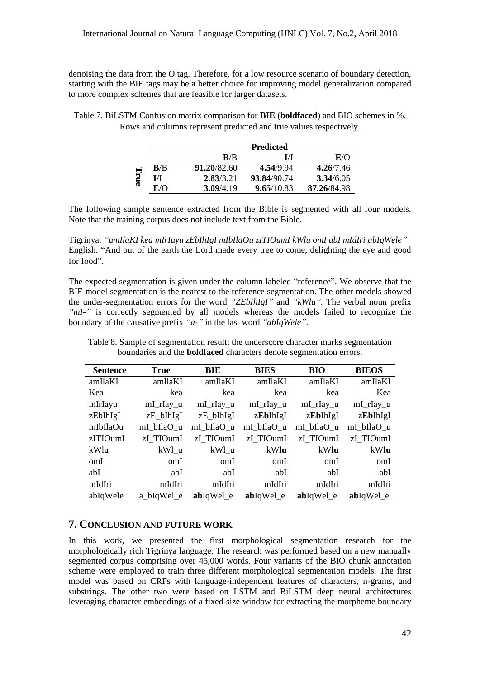denoising the data from the O tag. Therefore, for a low resource scenario of boundary detection, starting with the BIE tags may be a better choice for improving model generalization compared to more complex schemes that are feasible for larger datasets.

Table 7. BiLSTM Confusion matrix comparison for **BIE** (**boldfaced**) and BIO schemes in %. Rows and columns represent predicted and true values respectively.

|      |     |                  | <b>Predicted</b> |             |
|------|-----|------------------|------------------|-------------|
|      |     | B/B              | I/I              | E/O         |
|      | B/B | 91.20/82.60      | 4.54/9.94        | 4.26/7.46   |
| True | IЛ  | 2.83/3.21        | 93.84/90.74      | 3.34/6.05   |
|      | E/O | <b>3.09/4.19</b> | 9.65/10.83       | 87.26/84.98 |

The following sample sentence extracted from the Bible is segmented with all four models. Note that the training corpus does not include text from the Bible.

Tigrinya: *"amIlaKI kea mIrIayu zEbIhIgI mIbIlaOu zITIOumI kWlu omI abI mIdIri abIqWele"* English: "And out of the earth the Lord made every tree to come, delighting the eye and good for food".

The expected segmentation is given under the column labeled "reference". We observe that the BIE model segmentation is the nearest to the reference segmentation. The other models showed the under-segmentation errors for the word *"ZEbIhIgI"* and *"kWlu"*. The verbal noun prefix *"mI-"* is correctly segmented by all models whereas the models failed to recognize the boundary of the causative prefix *"a-"* in the last word *"abIqWele"*.

| <b>Sentence</b> | <b>True</b> | <b>BIE</b>  | <b>BIES</b> | <b>BIO</b> | <b>BIEOS</b> |
|-----------------|-------------|-------------|-------------|------------|--------------|
| amIlaKI         | amIlaKI     | amIlaKI     | amIlaKI     | amIlaKI    | amIlaKI      |
| Kea             | kea         | kea         | kea         | kea        | Kea          |
| mIrIayu         | mI_rIay_u   | $mL$ rlay_u | mI_rIay_u   | mI_rIay_u  | mI_rIay_u    |
| zEbIhIgI        | zE_bIhIgI   | zE_bIhIgI   | zEbIhIgI    | zEbIhIgI   | zEbIhIgI     |
| mIbIlaOu        | mI_bIlaO_u  | mI bIlaO u  | mI bIlaO u  | mI_bIlaO_u | mI_bIlaO_u   |
| zITIOumI        | zI TIOumI   | zI TIOumI   | zI TIOumI   | zI TIOumI  | zI TIOumI    |
| kWlu            | kWl u       | kWl u       | kWlu        | kWlu       | kWlu         |
| omI             | omI         | omI         | omI         | omI        | omI          |
| abI             | abI         | abI         | abI         | abI        | abI          |
| mIdIri          | mIdIri      | mIdIri      | mIdIri      | mIdIri     | mIdIri       |
| abIqWele        | a bIqWel e  | abIqWel e   | abIqWel e   | abIqWel e  | abIqWel e    |

Table 8. Sample of segmentation result; the underscore character marks segmentation boundaries and the **boldfaced** characters denote segmentation errors.

## **7. CONCLUSION AND FUTURE WORK**

In this work, we presented the first morphological segmentation research for the morphologically rich Tigrinya language. The research was performed based on a new manually segmented corpus comprising over 45,000 words. Four variants of the BIO chunk annotation scheme were employed to train three different morphological segmentation models. The first model was based on CRFs with language-independent features of characters, n-grams, and substrings. The other two were based on LSTM and BiLSTM deep neural architectures leveraging character embeddings of a fixed-size window for extracting the morpheme boundary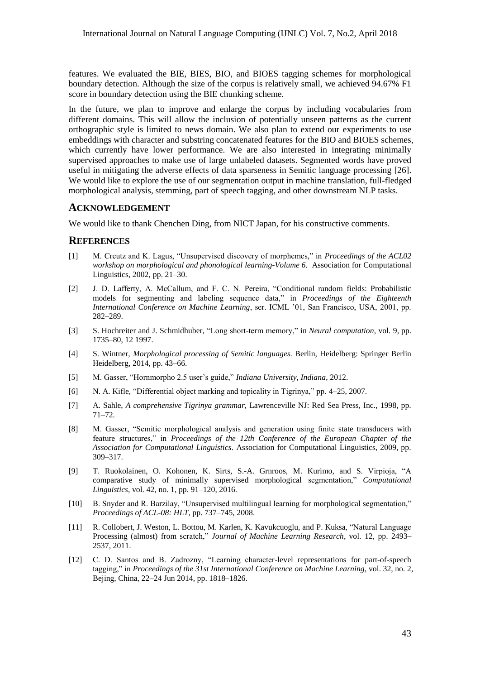features. We evaluated the BIE, BIES, BIO, and BIOES tagging schemes for morphological boundary detection. Although the size of the corpus is relatively small, we achieved 94.67% F1 score in boundary detection using the BIE chunking scheme.

In the future, we plan to improve and enlarge the corpus by including vocabularies from different domains. This will allow the inclusion of potentially unseen patterns as the current orthographic style is limited to news domain. We also plan to extend our experiments to use embeddings with character and substring concatenated features for the BIO and BIOES schemes, which currently have lower performance. We are also interested in integrating minimally supervised approaches to make use of large unlabeled datasets. Segmented words have proved useful in mitigating the adverse effects of data sparseness in Semitic language processing [26]. We would like to explore the use of our segmentation output in machine translation, full-fledged morphological analysis, stemming, part of speech tagging, and other downstream NLP tasks.

## **ACKNOWLEDGEMENT**

We would like to thank Chenchen Ding, from NICT Japan, for his constructive comments.

## **REFERENCES**

- [1] M. Creutz and K. Lagus, "Unsupervised discovery of morphemes," in *Proceedings of the ACL02 workshop on morphological and phonological learning-Volume 6*. Association for Computational Linguistics, 2002, pp. 21–30.
- [2] J. D. Lafferty, A. McCallum, and F. C. N. Pereira, "Conditional random fields: Probabilistic models for segmenting and labeling sequence data," in *Proceedings of the Eighteenth International Conference on Machine Learning*, ser. ICML "01, San Francisco, USA, 2001, pp. 282–289.
- [3] S. Hochreiter and J. Schmidhuber, "Long short-term memory," in *Neural computation*, vol. 9, pp. 1735–80, 12 1997.
- [4] S. Wintner, *Morphological processing of Semitic languages*. Berlin, Heidelberg: Springer Berlin Heidelberg, 2014, pp. 43–66.
- [5] M. Gasser, "Hornmorpho 2.5 user"s guide," *Indiana University, Indiana*, 2012.
- [6] N. A. Kifle, "Differential object marking and topicality in Tigrinya," pp. 4–25, 2007.
- [7] A. Sahle, *A comprehensive Tigrinya grammar*, Lawrenceville NJ: Red Sea Press, Inc., 1998, pp. 71–72.
- [8] M. Gasser, "Semitic morphological analysis and generation using finite state transducers with feature structures," in *Proceedings of the 12th Conference of the European Chapter of the Association for Computational Linguistics*. Association for Computational Linguistics, 2009, pp. 309–317.
- [9] T. Ruokolainen, O. Kohonen, K. Sirts, S.-A. Grnroos, M. Kurimo, and S. Virpioja, "A comparative study of minimally supervised morphological segmentation," *Computational Linguistics*, vol. 42, no. 1, pp. 91–120, 2016.
- [10] B. Snyder and R. Barzilay, "Unsupervised multilingual learning for morphological segmentation," *Proceedings of ACL-08: HLT*, pp. 737–745, 2008.
- [11] R. Collobert, J. Weston, L. Bottou, M. Karlen, K. Kavukcuoglu, and P. Kuksa, "Natural Language Processing (almost) from scratch," *Journal of Machine Learning Research*, vol. 12, pp. 2493– 2537, 2011.
- [12] C. D. Santos and B. Zadrozny, "Learning character-level representations for part-of-speech tagging," in *Proceedings of the 31st International Conference on Machine Learning*, vol. 32, no. 2, Bejing, China, 22–24 Jun 2014, pp. 1818–1826.